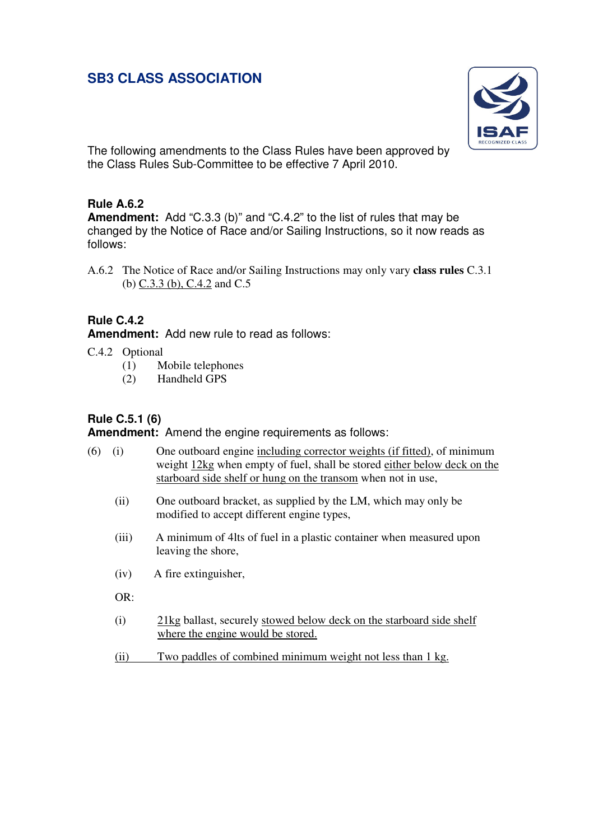# **SB3 CLASS ASSOCIATION**



The following amendments to the Class Rules have been approved by the Class Rules Sub-Committee to be effective 7 April 2010.

## **Rule A.6.2**

**Amendment:** Add "C.3.3 (b)" and "C.4.2" to the list of rules that may be changed by the Notice of Race and/or Sailing Instructions, so it now reads as follows:

A.6.2 The Notice of Race and/or Sailing Instructions may only vary **class rules** C.3.1 (b) C.3.3 (b), C.4.2 and C.5

## **Rule C.4.2**

**Amendment:** Add new rule to read as follows:

- C.4.2 Optional
	- (1) Mobile telephones
	- (2) Handheld GPS

## **Rule C.5.1 (6)**

**Amendment:** Amend the engine requirements as follows:

| (6) | (1)   | One outboard engine including corrector weights (if fitted), of minimum<br>weight 12kg when empty of fuel, shall be stored either below deck on the<br>starboard side shelf or hung on the transom when not in use, |
|-----|-------|---------------------------------------------------------------------------------------------------------------------------------------------------------------------------------------------------------------------|
|     | (ii)  | One outboard bracket, as supplied by the LM, which may only be<br>modified to accept different engine types,                                                                                                        |
|     | (iii) | A minimum of 4lts of fuel in a plastic container when measured upon<br>leaving the shore,                                                                                                                           |
|     | (iv)  | A fire extinguisher,                                                                                                                                                                                                |
|     | OR:   |                                                                                                                                                                                                                     |
|     | (i)   | 21kg ballast, securely stowed below deck on the starboard side shelf<br>where the engine would be stored.                                                                                                           |
|     | (ii)  | Two paddles of combined minimum weight not less than 1 kg.                                                                                                                                                          |